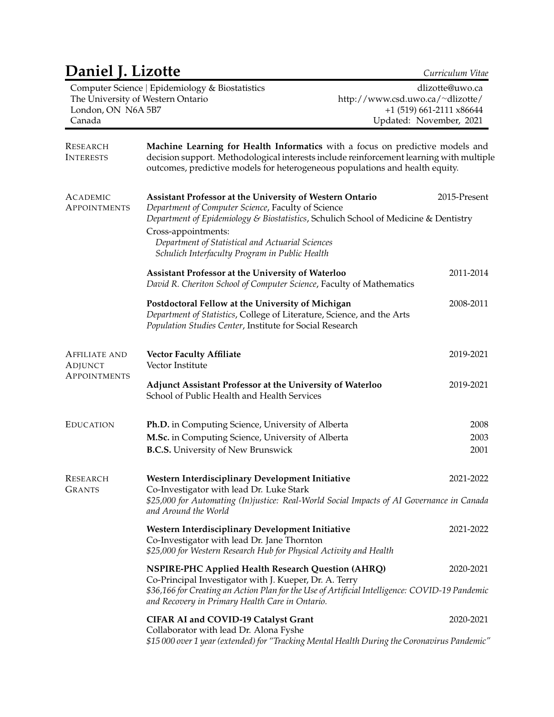# **Daniel J. Lizotte** *Curriculum Vitae* Computer Science | Epidemiology & Biostatistics The University of Western Ontario London, ON N6A 5B7 Canada dlizotte@uwo.ca [http://www.csd.uwo.ca/](http://www.csd.uwo.ca/~dlizotte/)<sup>∼</sup>dlizotte/ +1 (519) 661-2111 x86644 Updated: November, 2021 RESEARCH INTERESTS **Machine Learning for Health Informatics** with a focus on predictive models and decision support. Methodological interests include reinforcement learning with multiple outcomes, predictive models for heterogeneous populations and health equity. ACADEMIC **APPOINTMENTS Assistant Professor at the University of Western Ontario** 2015-Present *Department of Computer Science*, Faculty of Science *Department of Epidemiology & Biostatistics*, Schulich School of Medicine & Dentistry Cross-appointments: *Department of Statistical and Actuarial Sciences Schulich Interfaculty Program in Public Health* **Assistant Professor at the University of Waterloo** 2011-2014 *David R. Cheriton School of Computer Science*, Faculty of Mathematics **Postdoctoral Fellow at the University of Michigan** 2008-2011 *Department of Statistics*, College of Literature, Science, and the Arts *Population Studies Center*, Institute for Social Research AFFILIATE AND **ADJUNCT APPOINTMENTS Vector Faculty Affiliate** 2019-2021 Vector Institute **Adjunct Assistant Professor at the University of Waterloo** 2019-2021 School of Public Health and Health Services EDUCATION **Ph.D.** in Computing Science, University of Alberta 2008 **M.Sc.** in Computing Science, University of Alberta 2003 **B.C.S.** University of New Brunswick 2001 RESEARCH GRANTS **Western Interdisciplinary Development Initiative** 2021-2022 Co-Investigator with lead Dr. Luke Stark *\$25,000 for Automating (In)justice: Real-World Social Impacts of AI Governance in Canada and Around the World* **Western Interdisciplinary Development Initiative** 2021-2022 Co-Investigator with lead Dr. Jane Thornton *\$25,000 for Western Research Hub for Physical Activity and Health* **NSPIRE-PHC Applied Health Research Question (AHRQ)** 2020-2021 Co-Principal Investigator with J. Kueper, Dr. A. Terry *\$36,166 for Creating an Action Plan for the Use of Artificial Intelligence: COVID-19 Pandemic and Recovery in Primary Health Care in Ontario.* **CIFAR AI and COVID-19 Catalyst Grant** 2020-2021 2020-2021

Collaborator with lead Dr. Alona Fyshe *\$15 000 over 1 year (extended) for "Tracking Mental Health During the Coronavirus Pandemic"*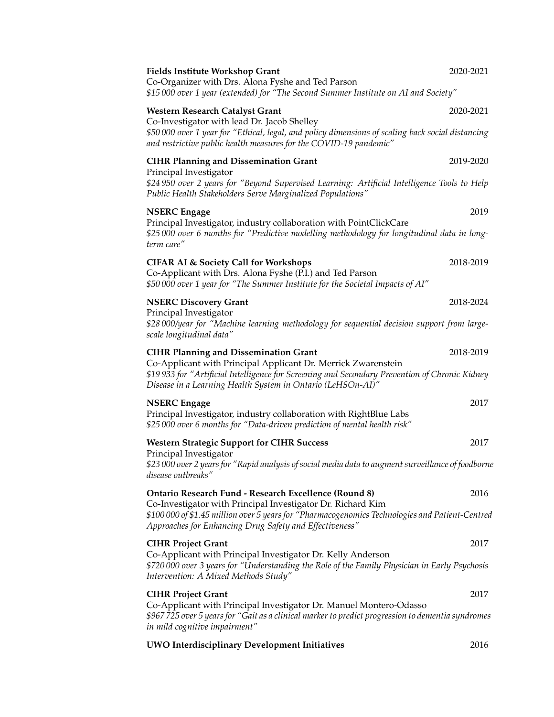| <b>Fields Institute Workshop Grant</b><br>Co-Organizer with Drs. Alona Fyshe and Ted Parson                                                                                                                                                                                    | 2020-2021 |
|--------------------------------------------------------------------------------------------------------------------------------------------------------------------------------------------------------------------------------------------------------------------------------|-----------|
| \$15000 over 1 year (extended) for "The Second Summer Institute on AI and Society"                                                                                                                                                                                             |           |
| <b>Western Research Catalyst Grant</b><br>Co-Investigator with lead Dr. Jacob Shelley<br>\$50 000 over 1 year for "Ethical, legal, and policy dimensions of scaling back social distancing                                                                                     | 2020-2021 |
| and restrictive public health measures for the COVID-19 pandemic"                                                                                                                                                                                                              |           |
| <b>CIHR Planning and Dissemination Grant</b><br>Principal Investigator<br>\$24 950 over 2 years for "Beyond Supervised Learning: Artificial Intelligence Tools to Help                                                                                                         | 2019-2020 |
| Public Health Stakeholders Serve Marginalized Populations"                                                                                                                                                                                                                     |           |
| <b>NSERC</b> Engage<br>Principal Investigator, industry collaboration with PointClickCare<br>\$25000 over 6 months for "Predictive modelling methodology for longitudinal data in long-<br>term care"                                                                          | 2019      |
| <b>CIFAR AI &amp; Society Call for Workshops</b><br>Co-Applicant with Drs. Alona Fyshe (P.I.) and Ted Parson<br>\$50 000 over 1 year for "The Summer Institute for the Societal Impacts of AI"                                                                                 | 2018-2019 |
| <b>NSERC Discovery Grant</b><br>Principal Investigator<br>\$28 000/year for "Machine learning methodology for sequential decision support from large-<br>scale longitudinal data"                                                                                              | 2018-2024 |
| <b>CIHR Planning and Dissemination Grant</b><br>Co-Applicant with Principal Applicant Dr. Merrick Zwarenstein<br>\$19 933 for "Artificial Intelligence for Screening and Secondary Prevention of Chronic Kidney<br>Disease in a Learning Health System in Ontario (LeHSOn-AI)" | 2018-2019 |
| <b>NSERC</b> Engage<br>Principal Investigator, industry collaboration with RightBlue Labs<br>\$25 000 over 6 months for "Data-driven prediction of mental health risk"                                                                                                         | 2017      |
| <b>Western Strategic Support for CIHR Success</b>                                                                                                                                                                                                                              | 2017      |
| Principal Investigator<br>\$23 000 over 2 years for "Rapid analysis of social media data to augment surveillance of foodborne<br>disease outbreaks"                                                                                                                            |           |
| <b>Ontario Research Fund - Research Excellence (Round 8)</b>                                                                                                                                                                                                                   | 2016      |
| Co-Investigator with Principal Investigator Dr. Richard Kim<br>\$100 000 of \$1.45 million over 5 years for "Pharmacogenomics Technologies and Patient-Centred<br>Approaches for Enhancing Drug Safety and Effectiveness"                                                      |           |
| <b>CIHR Project Grant</b>                                                                                                                                                                                                                                                      | 2017      |
| Co-Applicant with Principal Investigator Dr. Kelly Anderson<br>\$720 000 over 3 years for "Understanding the Role of the Family Physician in Early Psychosis<br>Intervention: A Mixed Methods Study"                                                                           |           |
| <b>CIHR Project Grant</b>                                                                                                                                                                                                                                                      | 2017      |
| Co-Applicant with Principal Investigator Dr. Manuel Montero-Odasso<br>\$967 725 over 5 years for "Gait as a clinical marker to predict progression to dementia syndromes<br>in mild cognitive impairment"                                                                      |           |
| <b>UWO Interdisciplinary Development Initiatives</b>                                                                                                                                                                                                                           | 2016      |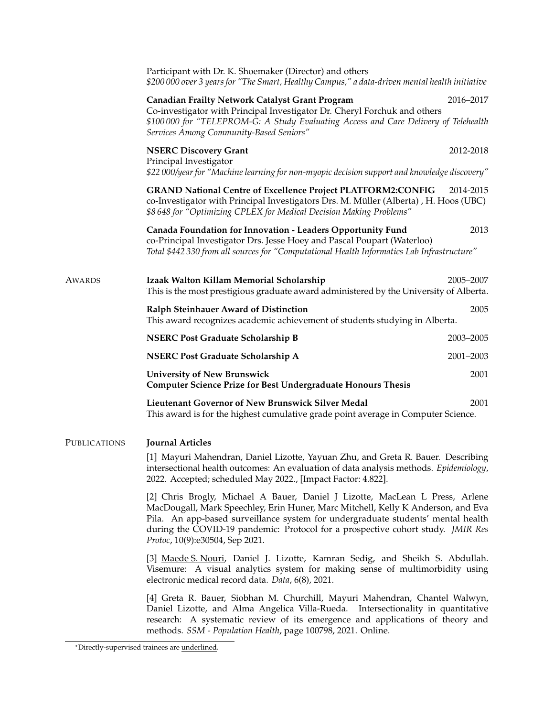|              | Participant with Dr. K. Shoemaker (Director) and others<br>\$200 000 over 3 years for "The Smart, Healthy Campus," a data-driven mental health initiative                                                                                                                                                                                                                  |           |
|--------------|----------------------------------------------------------------------------------------------------------------------------------------------------------------------------------------------------------------------------------------------------------------------------------------------------------------------------------------------------------------------------|-----------|
|              | <b>Canadian Frailty Network Catalyst Grant Program</b><br>Co-investigator with Principal Investigator Dr. Cheryl Forchuk and others<br>\$100000 for "TELEPROM-G: A Study Evaluating Access and Care Delivery of Telehealth                                                                                                                                                 | 2016-2017 |
|              | Services Among Community-Based Seniors"                                                                                                                                                                                                                                                                                                                                    |           |
|              | <b>NSERC Discovery Grant</b><br>Principal Investigator<br>\$22 000/year for "Machine learning for non-myopic decision support and knowledge discovery"                                                                                                                                                                                                                     | 2012-2018 |
|              | <b>GRAND National Centre of Excellence Project PLATFORM2:CONFIG</b><br>co-Investigator with Principal Investigators Drs. M. Müller (Alberta), H. Hoos (UBC)<br>\$8 648 for "Optimizing CPLEX for Medical Decision Making Problems"                                                                                                                                         | 2014-2015 |
|              | Canada Foundation for Innovation - Leaders Opportunity Fund<br>co-Principal Investigator Drs. Jesse Hoey and Pascal Poupart (Waterloo)<br>Total \$442 330 from all sources for "Computational Health Informatics Lab Infrastructure"                                                                                                                                       | 2013      |
| Awards       | Izaak Walton Killam Memorial Scholarship<br>This is the most prestigious graduate award administered by the University of Alberta.                                                                                                                                                                                                                                         | 2005-2007 |
|              | Ralph Steinhauer Award of Distinction<br>This award recognizes academic achievement of students studying in Alberta.                                                                                                                                                                                                                                                       | 2005      |
|              | <b>NSERC Post Graduate Scholarship B</b>                                                                                                                                                                                                                                                                                                                                   | 2003-2005 |
|              | <b>NSERC Post Graduate Scholarship A</b>                                                                                                                                                                                                                                                                                                                                   | 2001-2003 |
|              | <b>University of New Brunswick</b><br><b>Computer Science Prize for Best Undergraduate Honours Thesis</b>                                                                                                                                                                                                                                                                  | 2001      |
|              | Lieutenant Governor of New Brunswick Silver Medal<br>This award is for the highest cumulative grade point average in Computer Science.                                                                                                                                                                                                                                     | 2001      |
| Publications | <b>Journal Articles</b>                                                                                                                                                                                                                                                                                                                                                    |           |
|              | [1] Mayuri Mahendran, Daniel Lizotte, Yayuan Zhu, and Greta R. Bauer. Describing<br>intersectional health outcomes: An evaluation of data analysis methods. Epidemiology,<br>2022. Accepted; scheduled May 2022., [Impact Factor: 4.822].                                                                                                                                  |           |
|              | [2] Chris Brogly, Michael A Bauer, Daniel J Lizotte, MacLean L Press, Arlene<br>MacDougall, Mark Speechley, Erin Huner, Marc Mitchell, Kelly K Anderson, and Eva<br>Pila. An app-based surveillance system for undergraduate students' mental health<br>during the COVID-19 pandemic: Protocol for a prospective cohort study. JMIR Res<br>Protoc, 10(9):e30504, Sep 2021. |           |
|              | [3] Maede S. Nouri, Daniel J. Lizotte, Kamran Sedig, and Sheikh S. Abdullah.<br>Visemure: A visual analytics system for making sense of multimorbidity using<br>electronic medical record data. Data, 6(8), 2021.                                                                                                                                                          |           |
|              | [4] Greta R. Bauer, Siobhan M. Churchill, Mayuri Mahendran, Chantel Walwyn,<br>Daniel Lizotte, and Alma Angelica Villa-Rueda. Intersectionality in quantitative<br>research: A systematic review of its emergence and applications of theory and<br>methods. SSM - Population Health, page 100798, 2021. Online.                                                           |           |

<sup>\*</sup>Directly-supervised trainees are underlined.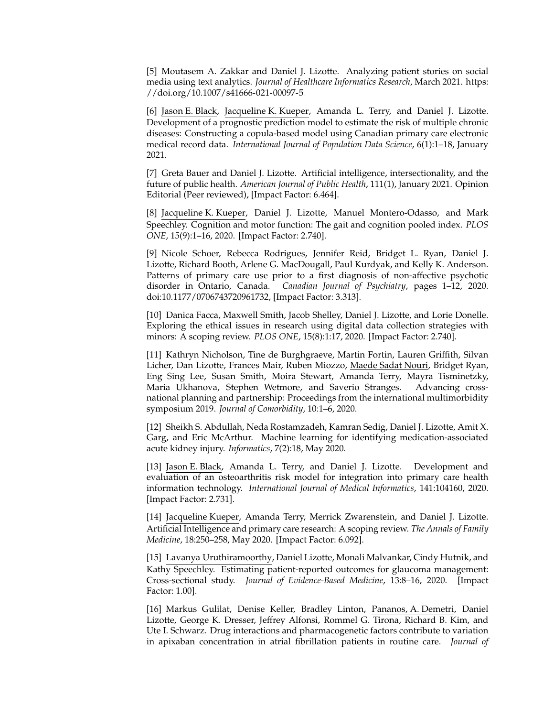[5] Moutasem A. Zakkar and Daniel J. Lizotte. Analyzing patient stories on social media using text analytics. *Journal of Healthcare Informatics Research*, March 2021. [https:](https://doi.org/10.1007/s41666-021-00097-5) [//doi.org/10.1007/s41666-021-00097-5.](https://doi.org/10.1007/s41666-021-00097-5)

[6] Jason E. Black, Jacqueline K. Kueper, Amanda L. Terry, and Daniel J. Lizotte. Development of a prognostic prediction model to estimate the risk of multiple chronic diseases: Constructing a copula-based model using Canadian primary care electronic medical record data. *International Journal of Population Data Science*, 6(1):1–18, January 2021.

[7] Greta Bauer and Daniel J. Lizotte. Artificial intelligence, intersectionality, and the future of public health. *American Journal of Public Health*, 111(1), January 2021. Opinion Editorial (Peer reviewed), [Impact Factor: 6.464].

[8] Jacqueline K. Kueper, Daniel J. Lizotte, Manuel Montero-Odasso, and Mark Speechley. Cognition and motor function: The gait and cognition pooled index. *PLOS ONE*, 15(9):1–16, 2020. [Impact Factor: 2.740].

[9] Nicole Schoer, Rebecca Rodrigues, Jennifer Reid, Bridget L. Ryan, Daniel J. Lizotte, Richard Booth, Arlene G. MacDougall, Paul Kurdyak, and Kelly K. Anderson. Patterns of primary care use prior to a first diagnosis of non-affective psychotic disorder in Ontario, Canada. *Canadian Journal of Psychiatry*, pages 1–12, 2020. doi:10.1177/0706743720961732, [Impact Factor: 3.313].

[10] Danica Facca, Maxwell Smith, Jacob Shelley, Daniel J. Lizotte, and Lorie Donelle. Exploring the ethical issues in research using digital data collection strategies with minors: A scoping review. *PLOS ONE*, 15(8):1:17, 2020. [Impact Factor: 2.740].

[11] Kathryn Nicholson, Tine de Burghgraeve, Martin Fortin, Lauren Griffith, Silvan Licher, Dan Lizotte, Frances Mair, Ruben Miozzo, Maede Sadat Nouri, Bridget Ryan, Eng Sing Lee, Susan Smith, Moira Stewart, Amanda Terry, Mayra Tisminetzky, Maria Ukhanova, Stephen Wetmore, and Saverio Stranges. Advancing crossnational planning and partnership: Proceedings from the international multimorbidity symposium 2019. *Journal of Comorbidity*, 10:1–6, 2020.

[12] Sheikh S. Abdullah, Neda Rostamzadeh, Kamran Sedig, Daniel J. Lizotte, Amit X. Garg, and Eric McArthur. Machine learning for identifying medication-associated acute kidney injury. *Informatics*, 7(2):18, May 2020.

[13] Jason E. Black, Amanda L. Terry, and Daniel J. Lizotte. Development and evaluation of an osteoarthritis risk model for integration into primary care health information technology. *International Journal of Medical Informatics*, 141:104160, 2020. [Impact Factor: 2.731].

[14] Jacqueline Kueper, Amanda Terry, Merrick Zwarenstein, and Daniel J. Lizotte. Artificial Intelligence and primary care research: A scoping review. *The Annals of Family Medicine*, 18:250–258, May 2020. [Impact Factor: 6.092].

[15] Lavanya Uruthiramoorthy, Daniel Lizotte, Monali Malvankar, Cindy Hutnik, and Kathy Speechley. Estimating patient-reported outcomes for glaucoma management: Cross-sectional study. *Journal of Evidence-Based Medicine*, 13:8–16, 2020. [Impact Factor: 1.00].

[16] Markus Gulilat, Denise Keller, Bradley Linton, Pananos, A. Demetri, Daniel Lizotte, George K. Dresser, Jeffrey Alfonsi, Rommel G. Tirona, Richard B. Kim, and Ute I. Schwarz. Drug interactions and pharmacogenetic factors contribute to variation in apixaban concentration in atrial fibrillation patients in routine care. *Journal of*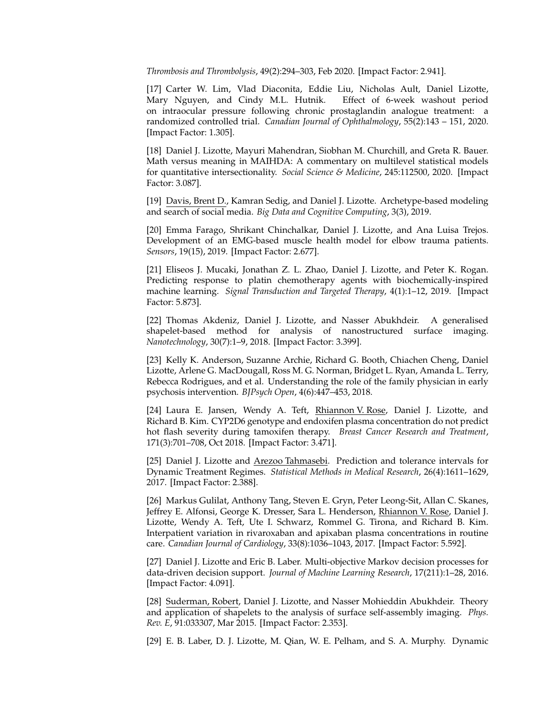*Thrombosis and Thrombolysis*, 49(2):294–303, Feb 2020. [Impact Factor: 2.941].

[17] Carter W. Lim, Vlad Diaconita, Eddie Liu, Nicholas Ault, Daniel Lizotte, Mary Nguyen, and Cindy M.L. Hutnik. Effect of 6-week washout period on intraocular pressure following chronic prostaglandin analogue treatment: a randomized controlled trial. *Canadian Journal of Ophthalmology*, 55(2):143 – 151, 2020. [Impact Factor: 1.305].

[18] Daniel J. Lizotte, Mayuri Mahendran, Siobhan M. Churchill, and Greta R. Bauer. Math versus meaning in MAIHDA: A commentary on multilevel statistical models for quantitative intersectionality. *Social Science & Medicine*, 245:112500, 2020. [Impact Factor: 3.087].

[19] Davis, Brent D., Kamran Sedig, and Daniel J. Lizotte. Archetype-based modeling and search of social media. *Big Data and Cognitive Computing*, 3(3), 2019.

[20] Emma Farago, Shrikant Chinchalkar, Daniel J. Lizotte, and Ana Luisa Trejos. Development of an EMG-based muscle health model for elbow trauma patients. *Sensors*, 19(15), 2019. [Impact Factor: 2.677].

[21] Eliseos J. Mucaki, Jonathan Z. L. Zhao, Daniel J. Lizotte, and Peter K. Rogan. Predicting response to platin chemotherapy agents with biochemically-inspired machine learning. *Signal Transduction and Targeted Therapy*, 4(1):1–12, 2019. [Impact Factor: 5.873].

[22] Thomas Akdeniz, Daniel J. Lizotte, and Nasser Abukhdeir. A generalised shapelet-based method for analysis of nanostructured surface imaging. *Nanotechnology*, 30(7):1–9, 2018. [Impact Factor: 3.399].

[23] Kelly K. Anderson, Suzanne Archie, Richard G. Booth, Chiachen Cheng, Daniel Lizotte, Arlene G. MacDougall, Ross M. G. Norman, Bridget L. Ryan, Amanda L. Terry, Rebecca Rodrigues, and et al. Understanding the role of the family physician in early psychosis intervention. *BJPsych Open*, 4(6):447–453, 2018.

[24] Laura E. Jansen, Wendy A. Teft, Rhiannon V. Rose, Daniel J. Lizotte, and Richard B. Kim. CYP2D6 genotype and endoxifen plasma concentration do not predict hot flash severity during tamoxifen therapy. *Breast Cancer Research and Treatment*, 171(3):701–708, Oct 2018. [Impact Factor: 3.471].

[25] Daniel J. Lizotte and Arezoo Tahmasebi. Prediction and tolerance intervals for Dynamic Treatment Regimes. *Statistical Methods in Medical Research*, 26(4):1611–1629, 2017. [Impact Factor: 2.388].

[26] Markus Gulilat, Anthony Tang, Steven E. Gryn, Peter Leong-Sit, Allan C. Skanes, Jeffrey E. Alfonsi, George K. Dresser, Sara L. Henderson, Rhiannon V. Rose, Daniel J. Lizotte, Wendy A. Teft, Ute I. Schwarz, Rommel G. Tirona, and Richard B. Kim. Interpatient variation in rivaroxaban and apixaban plasma concentrations in routine care. *Canadian Journal of Cardiology*, 33(8):1036–1043, 2017. [Impact Factor: 5.592].

[27] Daniel J. Lizotte and Eric B. Laber. Multi-objective Markov decision processes for data-driven decision support. *Journal of Machine Learning Research*, 17(211):1–28, 2016. [Impact Factor: 4.091].

[28] Suderman, Robert, Daniel J. Lizotte, and Nasser Mohieddin Abukhdeir. Theory and application of shapelets to the analysis of surface self-assembly imaging. *Phys. Rev. E*, 91:033307, Mar 2015. [Impact Factor: 2.353].

[29] E. B. Laber, D. J. Lizotte, M. Qian, W. E. Pelham, and S. A. Murphy. Dynamic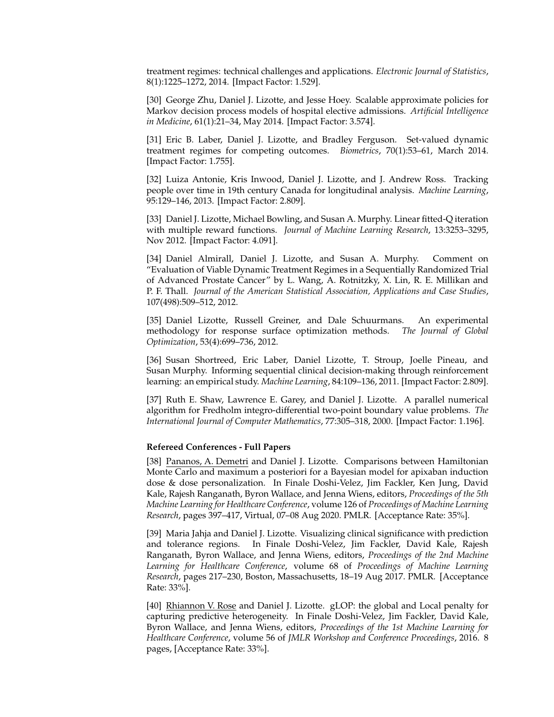treatment regimes: technical challenges and applications. *Electronic Journal of Statistics*, 8(1):1225–1272, 2014. [Impact Factor: 1.529].

[30] George Zhu, Daniel J. Lizotte, and Jesse Hoey. Scalable approximate policies for Markov decision process models of hospital elective admissions. *Artificial Intelligence in Medicine*, 61(1):21–34, May 2014. [Impact Factor: 3.574].

[31] Eric B. Laber, Daniel J. Lizotte, and Bradley Ferguson. Set-valued dynamic treatment regimes for competing outcomes. *Biometrics*, 70(1):53–61, March 2014. [Impact Factor: 1.755].

[32] Luiza Antonie, Kris Inwood, Daniel J. Lizotte, and J. Andrew Ross. Tracking people over time in 19th century Canada for longitudinal analysis. *Machine Learning*, 95:129–146, 2013. [Impact Factor: 2.809].

[33] Daniel J. Lizotte, Michael Bowling, and Susan A. Murphy. Linear fitted-Q iteration with multiple reward functions. *Journal of Machine Learning Research*, 13:3253–3295, Nov 2012. [Impact Factor: 4.091].

[34] Daniel Almirall, Daniel J. Lizotte, and Susan A. Murphy. Comment on "Evaluation of Viable Dynamic Treatment Regimes in a Sequentially Randomized Trial of Advanced Prostate Cancer" by L. Wang, A. Rotnitzky, X. Lin, R. E. Millikan and P. F. Thall. *Journal of the American Statistical Association, Applications and Case Studies*, 107(498):509–512, 2012.

[35] Daniel Lizotte, Russell Greiner, and Dale Schuurmans. An experimental methodology for response surface optimization methods. *The Journal of Global Optimization*, 53(4):699–736, 2012.

[36] Susan Shortreed, Eric Laber, Daniel Lizotte, T. Stroup, Joelle Pineau, and Susan Murphy. Informing sequential clinical decision-making through reinforcement learning: an empirical study. *Machine Learning*, 84:109–136, 2011. [Impact Factor: 2.809].

[37] Ruth E. Shaw, Lawrence E. Garey, and Daniel J. Lizotte. A parallel numerical algorithm for Fredholm integro-differential two-point boundary value problems. *The International Journal of Computer Mathematics*, 77:305–318, 2000. [Impact Factor: 1.196].

### **Refereed Conferences - Full Papers**

[38] Pananos, A. Demetri and Daniel J. Lizotte. Comparisons between Hamiltonian Monte Carlo and maximum a posteriori for a Bayesian model for apixaban induction dose & dose personalization. In Finale Doshi-Velez, Jim Fackler, Ken Jung, David Kale, Rajesh Ranganath, Byron Wallace, and Jenna Wiens, editors, *Proceedings of the 5th Machine Learning for Healthcare Conference*, volume 126 of *Proceedings of Machine Learning Research*, pages 397–417, Virtual, 07–08 Aug 2020. PMLR. [Acceptance Rate: 35%].

[39] Maria Jahja and Daniel J. Lizotte. Visualizing clinical significance with prediction and tolerance regions. In Finale Doshi-Velez, Jim Fackler, David Kale, Rajesh Ranganath, Byron Wallace, and Jenna Wiens, editors, *Proceedings of the 2nd Machine Learning for Healthcare Conference*, volume 68 of *Proceedings of Machine Learning Research*, pages 217–230, Boston, Massachusetts, 18–19 Aug 2017. PMLR. [Acceptance Rate: 33%].

[40] Rhiannon V. Rose and Daniel J. Lizotte. gLOP: the global and Local penalty for capturing predictive heterogeneity. In Finale Doshi-Velez, Jim Fackler, David Kale, Byron Wallace, and Jenna Wiens, editors, *Proceedings of the 1st Machine Learning for Healthcare Conference*, volume 56 of *JMLR Workshop and Conference Proceedings*, 2016. 8 pages, [Acceptance Rate: 33%].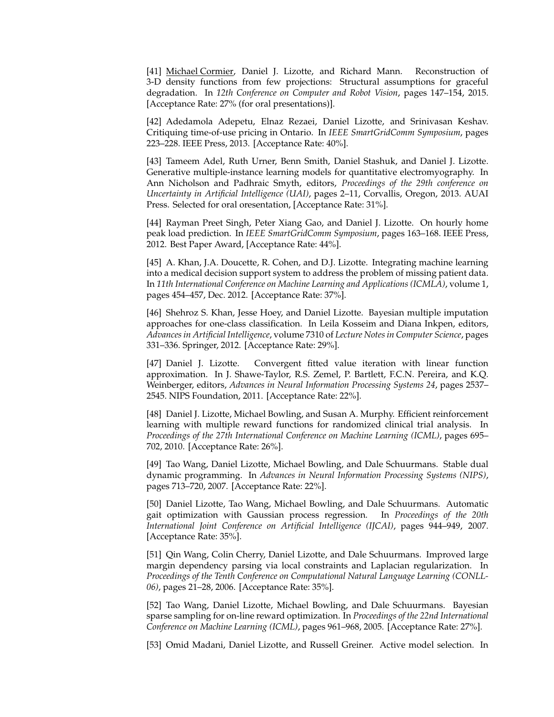[41] Michael Cormier, Daniel J. Lizotte, and Richard Mann. Reconstruction of 3-D density functions from few projections: Structural assumptions for graceful degradation. In *12th Conference on Computer and Robot Vision*, pages 147–154, 2015. [Acceptance Rate: 27% (for oral presentations)].

[42] Adedamola Adepetu, Elnaz Rezaei, Daniel Lizotte, and Srinivasan Keshav. Critiquing time-of-use pricing in Ontario. In *IEEE SmartGridComm Symposium*, pages 223–228. IEEE Press, 2013. [Acceptance Rate: 40%].

[43] Tameem Adel, Ruth Urner, Benn Smith, Daniel Stashuk, and Daniel J. Lizotte. Generative multiple-instance learning models for quantitative electromyography. In Ann Nicholson and Padhraic Smyth, editors, *Proceedings of the 29th conference on Uncertainty in Artificial Intelligence (UAI)*, pages 2–11, Corvallis, Oregon, 2013. AUAI Press. Selected for oral oresentation, [Acceptance Rate: 31%].

[44] Rayman Preet Singh, Peter Xiang Gao, and Daniel J. Lizotte. On hourly home peak load prediction. In *IEEE SmartGridComm Symposium*, pages 163–168. IEEE Press, 2012. Best Paper Award, [Acceptance Rate: 44%].

[45] A. Khan, J.A. Doucette, R. Cohen, and D.J. Lizotte. Integrating machine learning into a medical decision support system to address the problem of missing patient data. In *11th International Conference on Machine Learning and Applications (ICMLA)*, volume 1, pages 454–457, Dec. 2012. [Acceptance Rate: 37%].

[46] Shehroz S. Khan, Jesse Hoey, and Daniel Lizotte. Bayesian multiple imputation approaches for one-class classification. In Leila Kosseim and Diana Inkpen, editors, *Advances in Artificial Intelligence*, volume 7310 of *Lecture Notes in Computer Science*, pages 331–336. Springer, 2012. [Acceptance Rate: 29%].

[47] Daniel J. Lizotte. Convergent fitted value iteration with linear function approximation. In J. Shawe-Taylor, R.S. Zemel, P. Bartlett, F.C.N. Pereira, and K.Q. Weinberger, editors, *Advances in Neural Information Processing Systems 24*, pages 2537– 2545. NIPS Foundation, 2011. [Acceptance Rate: 22%].

[48] Daniel J. Lizotte, Michael Bowling, and Susan A. Murphy. Efficient reinforcement learning with multiple reward functions for randomized clinical trial analysis. In *Proceedings of the 27th International Conference on Machine Learning (ICML)*, pages 695– 702, 2010. [Acceptance Rate: 26%].

[49] Tao Wang, Daniel Lizotte, Michael Bowling, and Dale Schuurmans. Stable dual dynamic programming. In *Advances in Neural Information Processing Systems (NIPS)*, pages 713–720, 2007. [Acceptance Rate: 22%].

[50] Daniel Lizotte, Tao Wang, Michael Bowling, and Dale Schuurmans. Automatic gait optimization with Gaussian process regression. In *Proceedings of the 20th International Joint Conference on Artificial Intelligence (IJCAI)*, pages 944–949, 2007. [Acceptance Rate: 35%].

[51] Qin Wang, Colin Cherry, Daniel Lizotte, and Dale Schuurmans. Improved large margin dependency parsing via local constraints and Laplacian regularization. In *Proceedings of the Tenth Conference on Computational Natural Language Learning (CONLL-06)*, pages 21–28, 2006. [Acceptance Rate: 35%].

[52] Tao Wang, Daniel Lizotte, Michael Bowling, and Dale Schuurmans. Bayesian sparse sampling for on-line reward optimization. In *Proceedings of the 22nd International Conference on Machine Learning (ICML)*, pages 961–968, 2005. [Acceptance Rate: 27%].

[53] Omid Madani, Daniel Lizotte, and Russell Greiner. Active model selection. In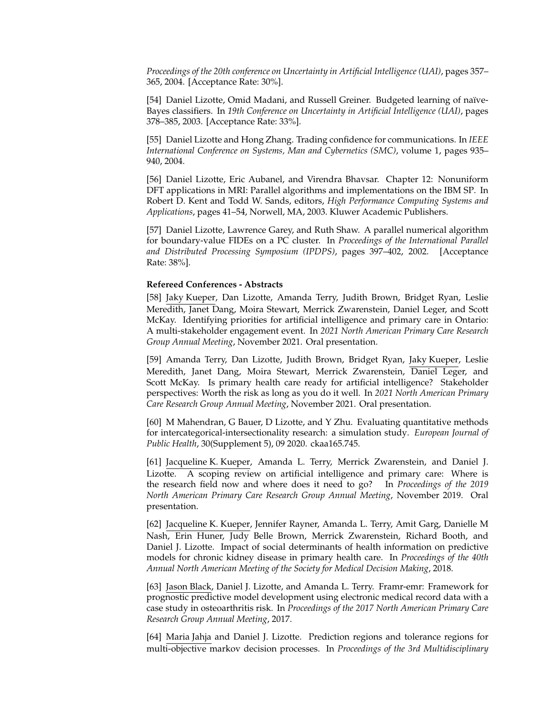*Proceedings of the 20th conference on Uncertainty in Artificial Intelligence (UAI)*, pages 357– 365, 2004. [Acceptance Rate: 30%].

[54] Daniel Lizotte, Omid Madani, and Russell Greiner. Budgeted learning of naïve-Bayes classifiers. In *19th Conference on Uncertainty in Artificial Intelligence (UAI)*, pages 378–385, 2003. [Acceptance Rate: 33%].

[55] Daniel Lizotte and Hong Zhang. Trading confidence for communications. In *IEEE International Conference on Systems, Man and Cybernetics (SMC)*, volume 1, pages 935– 940, 2004.

[56] Daniel Lizotte, Eric Aubanel, and Virendra Bhavsar. Chapter 12: Nonuniform DFT applications in MRI: Parallel algorithms and implementations on the IBM SP. In Robert D. Kent and Todd W. Sands, editors, *High Performance Computing Systems and Applications*, pages 41–54, Norwell, MA, 2003. Kluwer Academic Publishers.

[57] Daniel Lizotte, Lawrence Garey, and Ruth Shaw. A parallel numerical algorithm for boundary-value FIDEs on a PC cluster. In *Proceedings of the International Parallel and Distributed Processing Symposium (IPDPS)*, pages 397–402, 2002. [Acceptance Rate: 38%].

### **Refereed Conferences - Abstracts**

[58] Jaky Kueper, Dan Lizotte, Amanda Terry, Judith Brown, Bridget Ryan, Leslie Meredith, Janet Dang, Moira Stewart, Merrick Zwarenstein, Daniel Leger, and Scott McKay. Identifying priorities for artificial intelligence and primary care in Ontario: A multi-stakeholder engagement event. In *2021 North American Primary Care Research Group Annual Meeting*, November 2021. Oral presentation.

[59] Amanda Terry, Dan Lizotte, Judith Brown, Bridget Ryan, Jaky Kueper, Leslie Meredith, Janet Dang, Moira Stewart, Merrick Zwarenstein, Daniel Leger, and Scott McKay. Is primary health care ready for artificial intelligence? Stakeholder perspectives: Worth the risk as long as you do it well. In *2021 North American Primary Care Research Group Annual Meeting*, November 2021. Oral presentation.

[60] M Mahendran, G Bauer, D Lizotte, and Y Zhu. Evaluating quantitative methods for intercategorical-intersectionality research: a simulation study. *European Journal of Public Health*, 30(Supplement 5), 09 2020. ckaa165.745.

[61] Jacqueline K. Kueper, Amanda L. Terry, Merrick Zwarenstein, and Daniel J. Lizotte. A scoping review on artificial intelligence and primary care: Where is the research field now and where does it need to go? In *Proceedings of the 2019 North American Primary Care Research Group Annual Meeting*, November 2019. Oral presentation.

[62] Jacqueline K. Kueper, Jennifer Rayner, Amanda L. Terry, Amit Garg, Danielle M Nash, Erin Huner, Judy Belle Brown, Merrick Zwarenstein, Richard Booth, and Daniel J. Lizotte. Impact of social determinants of health information on predictive models for chronic kidney disease in primary health care. In *Proceedings of the 40th Annual North American Meeting of the Society for Medical Decision Making*, 2018.

[63] Jason Black, Daniel J. Lizotte, and Amanda L. Terry. Framr-emr: Framework for prognostic predictive model development using electronic medical record data with a case study in osteoarthritis risk. In *Proceedings of the 2017 North American Primary Care Research Group Annual Meeting*, 2017.

[64] Maria Jahja and Daniel J. Lizotte. Prediction regions and tolerance regions for multi-objective markov decision processes. In *Proceedings of the 3rd Multidisciplinary*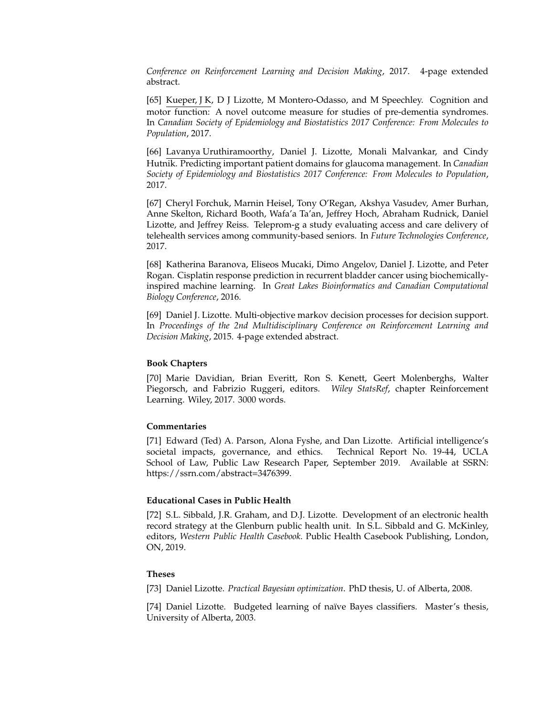*Conference on Reinforcement Learning and Decision Making*, 2017. 4-page extended abstract.

[65] Kueper, J K, D J Lizotte, M Montero-Odasso, and M Speechley. Cognition and motor function: A novel outcome measure for studies of pre-dementia syndromes. In *Canadian Society of Epidemiology and Biostatistics 2017 Conference: From Molecules to Population*, 2017.

[66] Lavanya Uruthiramoorthy, Daniel J. Lizotte, Monali Malvankar, and Cindy Hutnik. Predicting important patient domains for glaucoma management. In *Canadian Society of Epidemiology and Biostatistics 2017 Conference: From Molecules to Population*, 2017.

[67] Cheryl Forchuk, Marnin Heisel, Tony O'Regan, Akshya Vasudev, Amer Burhan, Anne Skelton, Richard Booth, Wafa'a Ta'an, Jeffrey Hoch, Abraham Rudnick, Daniel Lizotte, and Jeffrey Reiss. Teleprom-g a study evaluating access and care delivery of telehealth services among community-based seniors. In *Future Technologies Conference*, 2017.

[68] Katherina Baranova, Eliseos Mucaki, Dimo Angelov, Daniel J. Lizotte, and Peter Rogan. Cisplatin response prediction in recurrent bladder cancer using biochemicallyinspired machine learning. In *Great Lakes Bioinformatics and Canadian Computational Biology Conference*, 2016.

[69] Daniel J. Lizotte. Multi-objective markov decision processes for decision support. In *Proceedings of the 2nd Multidisciplinary Conference on Reinforcement Learning and Decision Making*, 2015. 4-page extended abstract.

## **Book Chapters**

[70] Marie Davidian, Brian Everitt, Ron S. Kenett, Geert Molenberghs, Walter Piegorsch, and Fabrizio Ruggeri, editors. *Wiley StatsRef*, chapter Reinforcement Learning. Wiley, 2017. 3000 words.

#### **Commentaries**

[71] Edward (Ted) A. Parson, Alona Fyshe, and Dan Lizotte. Artificial intelligence's societal impacts, governance, and ethics. Technical Report No. 19-44, UCLA School of Law, Public Law Research Paper, September 2019. Available at SSRN: https://ssrn.com/abstract=3476399.

#### **Educational Cases in Public Health**

[72] S.L. Sibbald, J.R. Graham, and D.J. Lizotte. Development of an electronic health record strategy at the Glenburn public health unit. In S.L. Sibbald and G. McKinley, editors, *Western Public Health Casebook*. Public Health Casebook Publishing, London, ON, 2019.

#### **Theses**

[73] Daniel Lizotte. *Practical Bayesian optimization*. PhD thesis, U. of Alberta, 2008.

[74] Daniel Lizotte. Budgeted learning of naïve Bayes classifiers. Master's thesis, University of Alberta, 2003.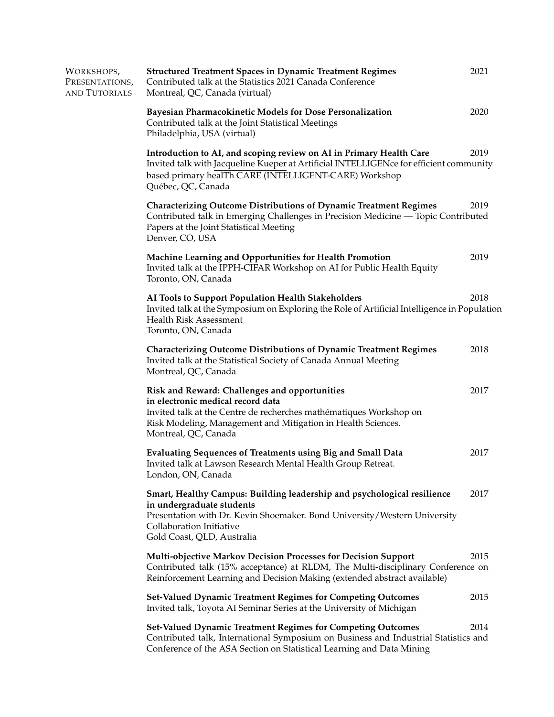| WORKSHOPS,<br>PRESENTATIONS,<br>and Tutorials | <b>Structured Treatment Spaces in Dynamic Treatment Regimes</b><br>Contributed talk at the Statistics 2021 Canada Conference<br>Montreal, QC, Canada (virtual)                                                                                   | 2021 |
|-----------------------------------------------|--------------------------------------------------------------------------------------------------------------------------------------------------------------------------------------------------------------------------------------------------|------|
|                                               | Bayesian Pharmacokinetic Models for Dose Personalization<br>Contributed talk at the Joint Statistical Meetings<br>Philadelphia, USA (virtual)                                                                                                    | 2020 |
|                                               | Introduction to AI, and scoping review on AI in Primary Health Care<br>Invited talk with Jacqueline Kueper at Artificial INTELLIGENce for efficient community<br>based primary healTh CARE (INTELLIGENT-CARE) Workshop<br>Québec, QC, Canada     | 2019 |
|                                               | <b>Characterizing Outcome Distributions of Dynamic Treatment Regimes</b><br>Contributed talk in Emerging Challenges in Precision Medicine — Topic Contributed<br>Papers at the Joint Statistical Meeting<br>Denver, CO, USA                      | 2019 |
|                                               | Machine Learning and Opportunities for Health Promotion<br>Invited talk at the IPPH-CIFAR Workshop on AI for Public Health Equity<br>Toronto, ON, Canada                                                                                         | 2019 |
|                                               | AI Tools to Support Population Health Stakeholders<br>Invited talk at the Symposium on Exploring the Role of Artificial Intelligence in Population<br>Health Risk Assessment<br>Toronto, ON, Canada                                              | 2018 |
|                                               | <b>Characterizing Outcome Distributions of Dynamic Treatment Regimes</b><br>Invited talk at the Statistical Society of Canada Annual Meeting<br>Montreal, QC, Canada                                                                             | 2018 |
|                                               | Risk and Reward: Challenges and opportunities<br>in electronic medical record data<br>Invited talk at the Centre de recherches mathématiques Workshop on<br>Risk Modeling, Management and Mitigation in Health Sciences.<br>Montreal, QC, Canada | 2017 |
|                                               | <b>Evaluating Sequences of Treatments using Big and Small Data</b><br>Invited talk at Lawson Research Mental Health Group Retreat.<br>London, ON, Canada                                                                                         | 2017 |
|                                               | Smart, Healthy Campus: Building leadership and psychological resilience<br>in undergraduate students<br>Presentation with Dr. Kevin Shoemaker. Bond University/Western University<br>Collaboration Initiative<br>Gold Coast, QLD, Australia      | 2017 |
|                                               | <b>Multi-objective Markov Decision Processes for Decision Support</b><br>Contributed talk (15% acceptance) at RLDM, The Multi-disciplinary Conference on<br>Reinforcement Learning and Decision Making (extended abstract available)             | 2015 |
|                                               | <b>Set-Valued Dynamic Treatment Regimes for Competing Outcomes</b><br>Invited talk, Toyota AI Seminar Series at the University of Michigan                                                                                                       | 2015 |
|                                               | Set-Valued Dynamic Treatment Regimes for Competing Outcomes<br>Contributed talk, International Symposium on Business and Industrial Statistics and<br>Conference of the ASA Section on Statistical Learning and Data Mining                      | 2014 |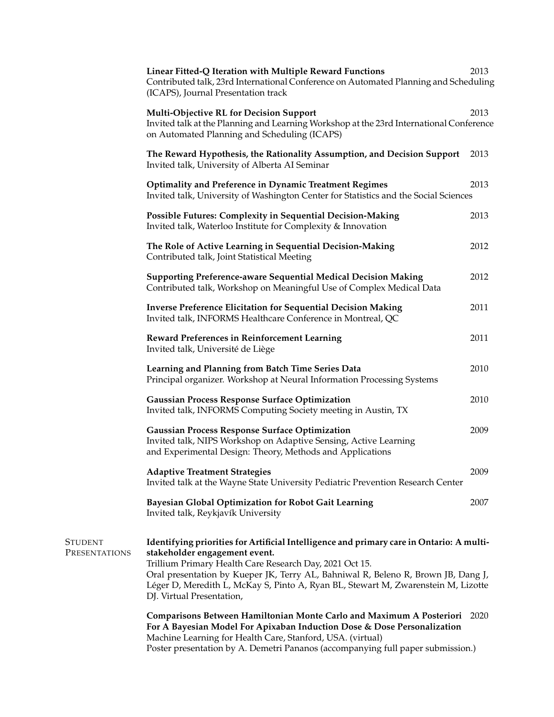|                                        | Linear Fitted-Q Iteration with Multiple Reward Functions<br>Contributed talk, 23rd International Conference on Automated Planning and Scheduling<br>(ICAPS), Journal Presentation track                                                                                                                                                                                                     | 2013 |
|----------------------------------------|---------------------------------------------------------------------------------------------------------------------------------------------------------------------------------------------------------------------------------------------------------------------------------------------------------------------------------------------------------------------------------------------|------|
|                                        | <b>Multi-Objective RL for Decision Support</b><br>Invited talk at the Planning and Learning Workshop at the 23rd International Conference<br>on Automated Planning and Scheduling (ICAPS)                                                                                                                                                                                                   | 2013 |
|                                        | The Reward Hypothesis, the Rationality Assumption, and Decision Support<br>Invited talk, University of Alberta AI Seminar                                                                                                                                                                                                                                                                   | 2013 |
|                                        | <b>Optimality and Preference in Dynamic Treatment Regimes</b><br>Invited talk, University of Washington Center for Statistics and the Social Sciences                                                                                                                                                                                                                                       | 2013 |
|                                        | Possible Futures: Complexity in Sequential Decision-Making<br>Invited talk, Waterloo Institute for Complexity & Innovation                                                                                                                                                                                                                                                                  | 2013 |
|                                        | The Role of Active Learning in Sequential Decision-Making<br>Contributed talk, Joint Statistical Meeting                                                                                                                                                                                                                                                                                    | 2012 |
|                                        | <b>Supporting Preference-aware Sequential Medical Decision Making</b><br>Contributed talk, Workshop on Meaningful Use of Complex Medical Data                                                                                                                                                                                                                                               | 2012 |
|                                        | <b>Inverse Preference Elicitation for Sequential Decision Making</b><br>Invited talk, INFORMS Healthcare Conference in Montreal, QC                                                                                                                                                                                                                                                         | 2011 |
|                                        | <b>Reward Preferences in Reinforcement Learning</b><br>Invited talk, Université de Liège                                                                                                                                                                                                                                                                                                    | 2011 |
|                                        | Learning and Planning from Batch Time Series Data<br>Principal organizer. Workshop at Neural Information Processing Systems                                                                                                                                                                                                                                                                 | 2010 |
|                                        | <b>Gaussian Process Response Surface Optimization</b><br>Invited talk, INFORMS Computing Society meeting in Austin, TX                                                                                                                                                                                                                                                                      | 2010 |
|                                        | <b>Gaussian Process Response Surface Optimization</b><br>Invited talk, NIPS Workshop on Adaptive Sensing, Active Learning<br>and Experimental Design: Theory, Methods and Applications                                                                                                                                                                                                      | 2009 |
|                                        | <b>Adaptive Treatment Strategies</b><br>Invited talk at the Wayne State University Pediatric Prevention Research Center                                                                                                                                                                                                                                                                     | 2009 |
|                                        | <b>Bayesian Global Optimization for Robot Gait Learning</b><br>Invited talk, Reykjavík University                                                                                                                                                                                                                                                                                           | 2007 |
| <b>STUDENT</b><br><b>PRESENTATIONS</b> | Identifying priorities for Artificial Intelligence and primary care in Ontario: A multi-<br>stakeholder engagement event.<br>Trillium Primary Health Care Research Day, 2021 Oct 15.<br>Oral presentation by Kueper JK, Terry AL, Bahniwal R, Beleno R, Brown JB, Dang J,<br>Léger D, Meredith L, McKay S, Pinto A, Ryan BL, Stewart M, Zwarenstein M, Lizotte<br>DJ. Virtual Presentation, |      |
|                                        | Comparisons Between Hamiltonian Monte Carlo and Maximum A Posteriori<br>For A Bayesian Model For Apixaban Induction Dose & Dose Personalization<br>Machine Learning for Health Care, Stanford, USA. (virtual)                                                                                                                                                                               | 2020 |

Poster presentation by A. Demetri Pananos (accompanying full paper submission.)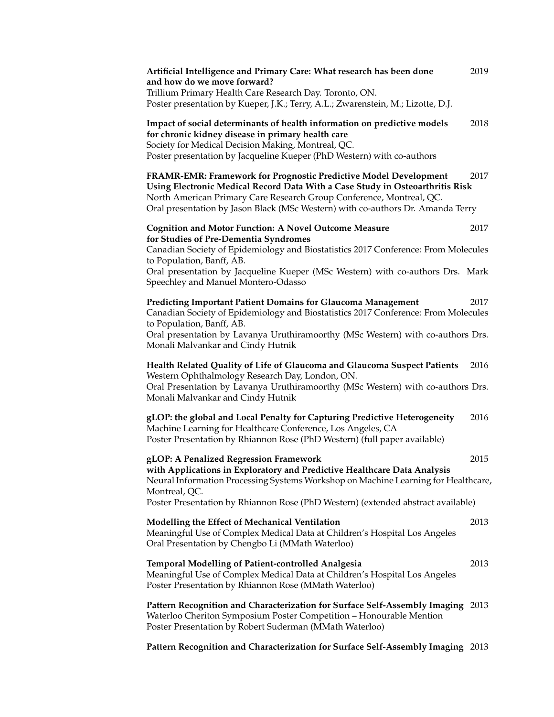| Artificial Intelligence and Primary Care: What research has been done<br>and how do we move forward?<br>Trillium Primary Health Care Research Day. Toronto, ON.<br>Poster presentation by Kueper, J.K.; Terry, A.L.; Zwarenstein, M.; Lizotte, D.J.                                                          | 2019 |
|--------------------------------------------------------------------------------------------------------------------------------------------------------------------------------------------------------------------------------------------------------------------------------------------------------------|------|
| Impact of social determinants of health information on predictive models<br>for chronic kidney disease in primary health care<br>Society for Medical Decision Making, Montreal, QC.<br>Poster presentation by Jacqueline Kueper (PhD Western) with co-authors                                                | 2018 |
| FRAMR-EMR: Framework for Prognostic Predictive Model Development<br>Using Electronic Medical Record Data With a Case Study in Osteoarthritis Risk<br>North American Primary Care Research Group Conference, Montreal, QC.<br>Oral presentation by Jason Black (MSc Western) with co-authors Dr. Amanda Terry | 2017 |
| <b>Cognition and Motor Function: A Novel Outcome Measure</b>                                                                                                                                                                                                                                                 | 2017 |
| for Studies of Pre-Dementia Syndromes<br>Canadian Society of Epidemiology and Biostatistics 2017 Conference: From Molecules<br>to Population, Banff, AB.                                                                                                                                                     |      |
| Oral presentation by Jacqueline Kueper (MSc Western) with co-authors Drs. Mark<br>Speechley and Manuel Montero-Odasso                                                                                                                                                                                        |      |
| Predicting Important Patient Domains for Glaucoma Management<br>Canadian Society of Epidemiology and Biostatistics 2017 Conference: From Molecules<br>to Population, Banff, AB.<br>Oral presentation by Lavanya Uruthiramoorthy (MSc Western) with co-authors Drs.                                           | 2017 |
| Monali Malvankar and Cindy Hutnik                                                                                                                                                                                                                                                                            |      |
| Health Related Quality of Life of Glaucoma and Glaucoma Suspect Patients<br>Western Ophthalmology Research Day, London, ON.<br>Oral Presentation by Lavanya Uruthiramoorthy (MSc Western) with co-authors Drs.<br>Monali Malvankar and Cindy Hutnik                                                          | 2016 |
| gLOP: the global and Local Penalty for Capturing Predictive Heterogeneity<br>Machine Learning for Healthcare Conference, Los Angeles, CA<br>Poster Presentation by Rhiannon Rose (PhD Western) (full paper available)                                                                                        | 2016 |
| gLOP: A Penalized Regression Framework<br>with Applications in Exploratory and Predictive Healthcare Data Analysis<br>Neural Information Processing Systems Workshop on Machine Learning for Healthcare,                                                                                                     | 2015 |
| Montreal, QC.<br>Poster Presentation by Rhiannon Rose (PhD Western) (extended abstract available)                                                                                                                                                                                                            |      |
| Modelling the Effect of Mechanical Ventilation<br>Meaningful Use of Complex Medical Data at Children's Hospital Los Angeles<br>Oral Presentation by Chengbo Li (MMath Waterloo)                                                                                                                              | 2013 |
| <b>Temporal Modelling of Patient-controlled Analgesia</b><br>Meaningful Use of Complex Medical Data at Children's Hospital Los Angeles<br>Poster Presentation by Rhiannon Rose (MMath Waterloo)                                                                                                              | 2013 |
| Pattern Recognition and Characterization for Surface Self-Assembly Imaging 2013<br>Waterloo Cheriton Symposium Poster Competition - Honourable Mention<br>Poster Presentation by Robert Suderman (MMath Waterloo)                                                                                            |      |

**Pattern Recognition and Characterization for Surface Self-Assembly Imaging** 2013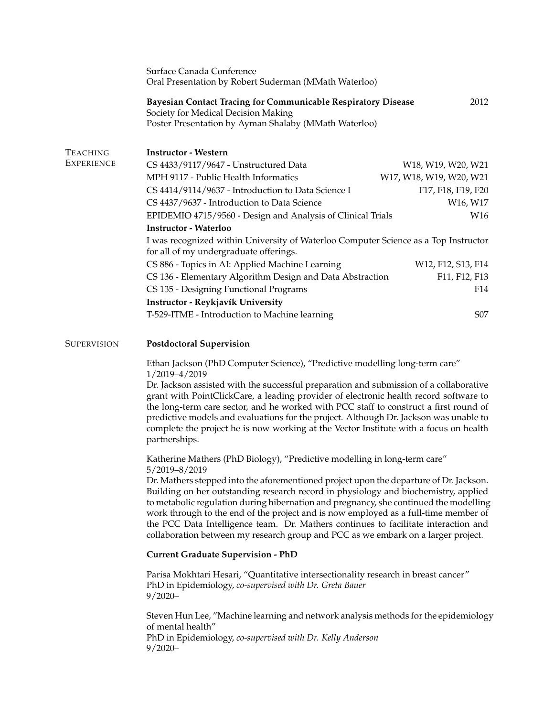|                                      | Surface Canada Conference<br>Oral Presentation by Robert Suderman (MMath Waterloo)                                                                                                                                                                                                                                                                                                                                                                                                                                                                                                                                                      |                                                                       |
|--------------------------------------|-----------------------------------------------------------------------------------------------------------------------------------------------------------------------------------------------------------------------------------------------------------------------------------------------------------------------------------------------------------------------------------------------------------------------------------------------------------------------------------------------------------------------------------------------------------------------------------------------------------------------------------------|-----------------------------------------------------------------------|
|                                      | <b>Bayesian Contact Tracing for Communicable Respiratory Disease</b><br>Society for Medical Decision Making<br>Poster Presentation by Ayman Shalaby (MMath Waterloo)                                                                                                                                                                                                                                                                                                                                                                                                                                                                    | 2012                                                                  |
| <b>TEACHING</b><br><b>EXPERIENCE</b> | <b>Instructor - Western</b><br>CS 4433/9117/9647 - Unstructured Data                                                                                                                                                                                                                                                                                                                                                                                                                                                                                                                                                                    | W <sub>18</sub> , W <sub>19</sub> , W <sub>20</sub> , W <sub>21</sub> |
|                                      | MPH 9117 - Public Health Informatics                                                                                                                                                                                                                                                                                                                                                                                                                                                                                                                                                                                                    | W17, W18, W19, W20, W21                                               |
|                                      | CS 4414/9114/9637 - Introduction to Data Science I                                                                                                                                                                                                                                                                                                                                                                                                                                                                                                                                                                                      | F17, F18, F19, F20                                                    |
|                                      | CS 4437/9637 - Introduction to Data Science                                                                                                                                                                                                                                                                                                                                                                                                                                                                                                                                                                                             | W16, W17                                                              |
|                                      | EPIDEMIO 4715/9560 - Design and Analysis of Clinical Trials                                                                                                                                                                                                                                                                                                                                                                                                                                                                                                                                                                             | W16                                                                   |
|                                      | <b>Instructor - Waterloo</b>                                                                                                                                                                                                                                                                                                                                                                                                                                                                                                                                                                                                            |                                                                       |
|                                      | I was recognized within University of Waterloo Computer Science as a Top Instructor<br>for all of my undergraduate offerings.                                                                                                                                                                                                                                                                                                                                                                                                                                                                                                           |                                                                       |
|                                      | CS 886 - Topics in AI: Applied Machine Learning                                                                                                                                                                                                                                                                                                                                                                                                                                                                                                                                                                                         | W12, F12, S13, F14                                                    |
|                                      | CS 136 - Elementary Algorithm Design and Data Abstraction                                                                                                                                                                                                                                                                                                                                                                                                                                                                                                                                                                               | F11, F12, F13                                                         |
|                                      | CS 135 - Designing Functional Programs                                                                                                                                                                                                                                                                                                                                                                                                                                                                                                                                                                                                  | F14                                                                   |
|                                      | Instructor - Reykjavík University                                                                                                                                                                                                                                                                                                                                                                                                                                                                                                                                                                                                       |                                                                       |
|                                      | T-529-ITME - Introduction to Machine learning                                                                                                                                                                                                                                                                                                                                                                                                                                                                                                                                                                                           | S07                                                                   |
| <b>SUPERVISION</b>                   | <b>Postdoctoral Supervision</b>                                                                                                                                                                                                                                                                                                                                                                                                                                                                                                                                                                                                         |                                                                       |
|                                      | Ethan Jackson (PhD Computer Science), "Predictive modelling long-term care"<br>1/2019-4/2019<br>Dr. Jackson assisted with the successful preparation and submission of a collaborative<br>grant with PointClickCare, a leading provider of electronic health record software to<br>the long-term care sector, and he worked with PCC staff to construct a first round of<br>predictive models and evaluations for the project. Although Dr. Jackson was unable to<br>complete the project he is now working at the Vector Institute with a focus on health<br>partnerships.                                                             |                                                                       |
|                                      | Katherine Mathers (PhD Biology), "Predictive modelling in long-term care"<br>5/2019-8/2019<br>Dr. Mathers stepped into the aforementioned project upon the departure of Dr. Jackson.<br>Building on her outstanding research record in physiology and biochemistry, applied<br>to metabolic regulation during hibernation and pregnancy, she continued the modelling<br>work through to the end of the project and is now employed as a full-time member of<br>the PCC Data Intelligence team. Dr. Mathers continues to facilitate interaction and<br>collaboration between my research group and PCC as we embark on a larger project. |                                                                       |
|                                      | <b>Current Graduate Supervision - PhD</b>                                                                                                                                                                                                                                                                                                                                                                                                                                                                                                                                                                                               |                                                                       |
|                                      | Parisa Mokhtari Hesari, "Quantitative intersectionality research in breast cancer"<br>PhD in Epidemiology, co-supervised with Dr. Greta Bauer<br>$9/2020 -$                                                                                                                                                                                                                                                                                                                                                                                                                                                                             |                                                                       |
|                                      | Steven Hun Lee, "Machine learning and network analysis methods for the epidemiology<br>of mental health"<br>PhD in Epidemiology, co-supervised with Dr. Kelly Anderson<br>$9/2020 -$                                                                                                                                                                                                                                                                                                                                                                                                                                                    |                                                                       |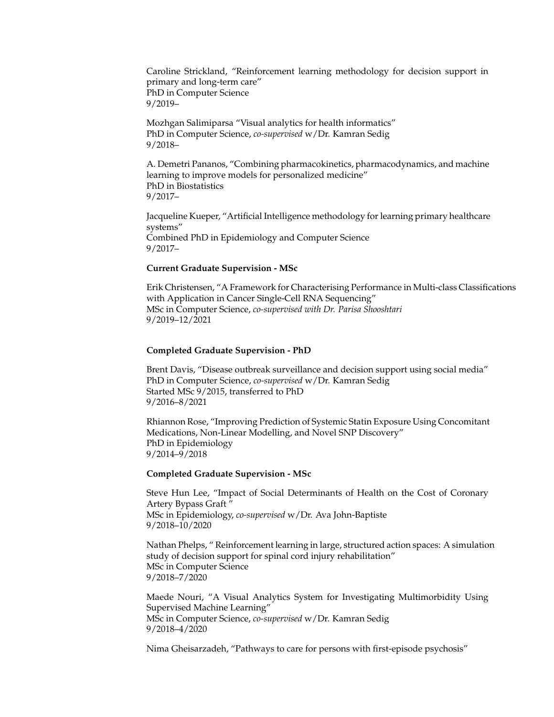Caroline Strickland, "Reinforcement learning methodology for decision support in primary and long-term care" PhD in Computer Science 9/2019–

Mozhgan Salimiparsa "Visual analytics for health informatics" PhD in Computer Science, *co-supervised* w/Dr. Kamran Sedig 9/2018–

A. Demetri Pananos, "Combining pharmacokinetics, pharmacodynamics, and machine learning to improve models for personalized medicine" PhD in Biostatistics 9/2017–

Jacqueline Kueper, "Artificial Intelligence methodology for learning primary healthcare systems" Combined PhD in Epidemiology and Computer Science 9/2017–

## **Current Graduate Supervision - MSc**

Erik Christensen, "A Framework for Characterising Performance in Multi-class Classifications with Application in Cancer Single-Cell RNA Sequencing" MSc in Computer Science, *co-supervised with Dr. Parisa Shooshtari* 9/2019–12/2021

### **Completed Graduate Supervision - PhD**

Brent Davis, "Disease outbreak surveillance and decision support using social media" PhD in Computer Science, *co-supervised* w/Dr. Kamran Sedig Started MSc 9/2015, transferred to PhD 9/2016–8/2021

Rhiannon Rose, "Improving Prediction of Systemic Statin Exposure Using Concomitant Medications, Non-Linear Modelling, and Novel SNP Discovery" PhD in Epidemiology 9/2014–9/2018

#### **Completed Graduate Supervision - MSc**

Steve Hun Lee, "Impact of Social Determinants of Health on the Cost of Coronary Artery Bypass Graft " MSc in Epidemiology, *co-supervised* w/Dr. Ava John-Baptiste 9/2018–10/2020

Nathan Phelps, " Reinforcement learning in large, structured action spaces: A simulation study of decision support for spinal cord injury rehabilitation" MSc in Computer Science 9/2018–7/2020

Maede Nouri, "A Visual Analytics System for Investigating Multimorbidity Using Supervised Machine Learning" MSc in Computer Science, *co-supervised* w/Dr. Kamran Sedig 9/2018–4/2020

Nima Gheisarzadeh, "Pathways to care for persons with first-episode psychosis"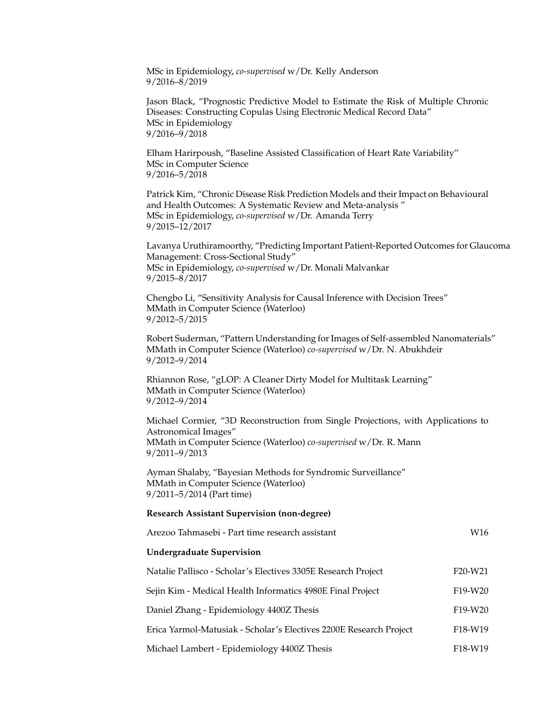MSc in Epidemiology, *co-supervised* w/Dr. Kelly Anderson 9/2016–8/2019

Jason Black, "Prognostic Predictive Model to Estimate the Risk of Multiple Chronic Diseases: Constructing Copulas Using Electronic Medical Record Data" MSc in Epidemiology 9/2016–9/2018

Elham Harirpoush, "Baseline Assisted Classification of Heart Rate Variability" MSc in Computer Science 9/2016–5/2018

Patrick Kim, "Chronic Disease Risk Prediction Models and their Impact on Behavioural and Health Outcomes: A Systematic Review and Meta-analysis " MSc in Epidemiology, *co-supervised* w/Dr. Amanda Terry 9/2015–12/2017

Lavanya Uruthiramoorthy, "Predicting Important Patient-Reported Outcomes for Glaucoma Management: Cross-Sectional Study" MSc in Epidemiology, *co-supervised* w/Dr. Monali Malvankar 9/2015–8/2017

Chengbo Li, "Sensitivity Analysis for Causal Inference with Decision Trees" MMath in Computer Science (Waterloo) 9/2012–5/2015

Robert Suderman, "Pattern Understanding for Images of Self-assembled Nanomaterials" MMath in Computer Science (Waterloo) *co-supervised* w/Dr. N. Abukhdeir 9/2012–9/2014

Rhiannon Rose, "gLOP: A Cleaner Dirty Model for Multitask Learning" MMath in Computer Science (Waterloo) 9/2012–9/2014

Michael Cormier, "3D Reconstruction from Single Projections, with Applications to Astronomical Images" MMath in Computer Science (Waterloo) *co-supervised* w/Dr. R. Mann 9/2011–9/2013

Ayman Shalaby, "Bayesian Methods for Syndromic Surveillance" MMath in Computer Science (Waterloo) 9/2011–5/2014 (Part time)

#### **Research Assistant Supervision (non-degree)**

| Arezoo Tahmasebi - Part time research assistant                    | W16                              |
|--------------------------------------------------------------------|----------------------------------|
| <b>Undergraduate Supervision</b>                                   |                                  |
| Natalie Pallisco - Scholar's Electives 3305E Research Project      | F <sub>20</sub> -W <sub>21</sub> |
| Sejin Kim - Medical Health Informatics 4980E Final Project         | F <sub>19</sub> -W <sub>20</sub> |
| Daniel Zhang - Epidemiology 4400Z Thesis                           | F <sub>19</sub> -W <sub>20</sub> |
| Erica Yarmol-Matusiak - Scholar's Electives 2200E Research Project | F <sub>18</sub> -W <sub>19</sub> |
| Michael Lambert - Epidemiology 4400Z Thesis                        | F <sub>18</sub> -W <sub>19</sub> |
|                                                                    |                                  |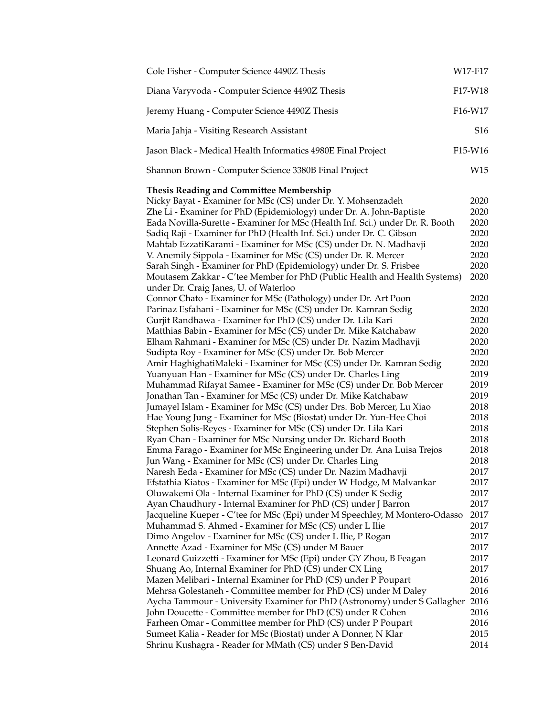| F17-W18<br>Diana Varyvoda - Computer Science 4490Z Thesis<br>F16-W17<br>Jeremy Huang - Computer Science 4490Z Thesis<br>S16<br>Maria Jahja - Visiting Research Assistant<br>F15-W16<br>Jason Black - Medical Health Informatics 4980E Final Project<br>Shannon Brown - Computer Science 3380B Final Project<br>W15<br><b>Thesis Reading and Committee Membership</b><br>Nicky Bayat - Examiner for MSc (CS) under Dr. Y. Mohsenzadeh<br>2020<br>Zhe Li - Examiner for PhD (Epidemiology) under Dr. A. John-Baptiste<br>2020<br>Eada Novilla-Surette - Examiner for MSc (Health Inf. Sci.) under Dr. R. Booth<br>2020<br>Sadiq Raji - Examiner for PhD (Health Inf. Sci.) under Dr. C. Gibson<br>2020<br>Mahtab EzzatiKarami - Examiner for MSc (CS) under Dr. N. Madhavji<br>2020<br>V. Anemily Sippola - Examiner for MSc (CS) under Dr. R. Mercer<br>2020<br>Sarah Singh - Examiner for PhD (Epidemiology) under Dr. S. Frisbee<br>2020<br>Moutasem Zakkar - C'tee Member for PhD (Public Health and Health Systems)<br>2020<br>under Dr. Craig Janes, U. of Waterloo<br>Connor Chato - Examiner for MSc (Pathology) under Dr. Art Poon<br>2020<br>Parinaz Esfahani - Examiner for MSc (CS) under Dr. Kamran Sedig<br>2020<br>Gurjit Randhawa - Examiner for PhD (CS) under Dr. Lila Kari<br>2020<br>Matthias Babin - Examiner for MSc (CS) under Dr. Mike Katchabaw<br>2020<br>Elham Rahmani - Examiner for MSc (CS) under Dr. Nazim Madhavji<br>2020<br>Sudipta Roy - Examiner for MSc (CS) under Dr. Bob Mercer<br>2020<br>Amir HaghighatiMaleki - Examiner for MSc (CS) under Dr. Kamran Sedig<br>2020<br>Yuanyuan Han - Examiner for MSc (CS) under Dr. Charles Ling<br>2019<br>Muhammad Rifayat Samee - Examiner for MSc (CS) under Dr. Bob Mercer<br>2019<br>Jonathan Tan - Examiner for MSc (CS) under Dr. Mike Katchabaw<br>2019<br>Jumayel Islam - Examiner for MSc (CS) under Drs. Bob Mercer, Lu Xiao<br>2018<br>Hae Young Jung - Examiner for MSc (Biostat) under Dr. Yun-Hee Choi<br>2018<br>Stephen Solis-Reyes - Examiner for MSc (CS) under Dr. Lila Kari<br>2018<br>Ryan Chan - Examiner for MSc Nursing under Dr. Richard Booth<br>2018<br>Emma Farago - Examiner for MSc Engineering under Dr. Ana Luisa Trejos<br>2018<br>Jun Wang - Examiner for MSc (CS) under Dr. Charles Ling<br>2018<br>Naresh Eeda - Examiner for MSc (CS) under Dr. Nazim Madhavji<br>2017<br>Efstathia Kiatos - Examiner for MSc (Epi) under W Hodge, M Malvankar<br>2017<br>Oluwakemi Ola - Internal Examiner for PhD (CS) under K Sedig<br>2017<br>Ayan Chaudhury - Internal Examiner for PhD (CS) under J Barron<br>2017<br>Jacqueline Kueper - C'tee for MSc (Epi) under M Speechley, M Montero-Odasso<br>2017<br>Muhammad S. Ahmed - Examiner for MSc (CS) under L Ilie<br>2017<br>Dimo Angelov - Examiner for MSc (CS) under L Ilie, P Rogan<br>2017<br>Annette Azad - Examiner for MSc (CS) under M Bauer<br>2017<br>Leonard Guizzetti - Examiner for MSc (Epi) under GY Zhou, B Feagan<br>2017<br>Shuang Ao, Internal Examiner for PhD (CS) under CX Ling<br>2017<br>Mazen Melibari - Internal Examiner for PhD (CS) under P Poupart<br>2016<br>Mehrsa Golestaneh - Committee member for PhD (CS) under M Daley<br>2016<br>Aycha Tammour - University Examiner for PhD (Astronomy) under S Gallagher<br>2016<br>John Doucette - Committee member for PhD (CS) under R Cohen<br>2016<br>Farheen Omar - Committee member for PhD (CS) under P Poupart<br>2016 | Cole Fisher - Computer Science 4490Z Thesis                    | W17-F17 |
|--------------------------------------------------------------------------------------------------------------------------------------------------------------------------------------------------------------------------------------------------------------------------------------------------------------------------------------------------------------------------------------------------------------------------------------------------------------------------------------------------------------------------------------------------------------------------------------------------------------------------------------------------------------------------------------------------------------------------------------------------------------------------------------------------------------------------------------------------------------------------------------------------------------------------------------------------------------------------------------------------------------------------------------------------------------------------------------------------------------------------------------------------------------------------------------------------------------------------------------------------------------------------------------------------------------------------------------------------------------------------------------------------------------------------------------------------------------------------------------------------------------------------------------------------------------------------------------------------------------------------------------------------------------------------------------------------------------------------------------------------------------------------------------------------------------------------------------------------------------------------------------------------------------------------------------------------------------------------------------------------------------------------------------------------------------------------------------------------------------------------------------------------------------------------------------------------------------------------------------------------------------------------------------------------------------------------------------------------------------------------------------------------------------------------------------------------------------------------------------------------------------------------------------------------------------------------------------------------------------------------------------------------------------------------------------------------------------------------------------------------------------------------------------------------------------------------------------------------------------------------------------------------------------------------------------------------------------------------------------------------------------------------------------------------------------------------------------------------------------------------------------------------------------------------------------------------------------------------------------------------------------------------------------------------------------------------------------------------------------------------------------------------------------------------------------------------------------------|----------------------------------------------------------------|---------|
|                                                                                                                                                                                                                                                                                                                                                                                                                                                                                                                                                                                                                                                                                                                                                                                                                                                                                                                                                                                                                                                                                                                                                                                                                                                                                                                                                                                                                                                                                                                                                                                                                                                                                                                                                                                                                                                                                                                                                                                                                                                                                                                                                                                                                                                                                                                                                                                                                                                                                                                                                                                                                                                                                                                                                                                                                                                                                                                                                                                                                                                                                                                                                                                                                                                                                                                                                                                                                                                                    |                                                                |         |
|                                                                                                                                                                                                                                                                                                                                                                                                                                                                                                                                                                                                                                                                                                                                                                                                                                                                                                                                                                                                                                                                                                                                                                                                                                                                                                                                                                                                                                                                                                                                                                                                                                                                                                                                                                                                                                                                                                                                                                                                                                                                                                                                                                                                                                                                                                                                                                                                                                                                                                                                                                                                                                                                                                                                                                                                                                                                                                                                                                                                                                                                                                                                                                                                                                                                                                                                                                                                                                                                    |                                                                |         |
|                                                                                                                                                                                                                                                                                                                                                                                                                                                                                                                                                                                                                                                                                                                                                                                                                                                                                                                                                                                                                                                                                                                                                                                                                                                                                                                                                                                                                                                                                                                                                                                                                                                                                                                                                                                                                                                                                                                                                                                                                                                                                                                                                                                                                                                                                                                                                                                                                                                                                                                                                                                                                                                                                                                                                                                                                                                                                                                                                                                                                                                                                                                                                                                                                                                                                                                                                                                                                                                                    |                                                                |         |
|                                                                                                                                                                                                                                                                                                                                                                                                                                                                                                                                                                                                                                                                                                                                                                                                                                                                                                                                                                                                                                                                                                                                                                                                                                                                                                                                                                                                                                                                                                                                                                                                                                                                                                                                                                                                                                                                                                                                                                                                                                                                                                                                                                                                                                                                                                                                                                                                                                                                                                                                                                                                                                                                                                                                                                                                                                                                                                                                                                                                                                                                                                                                                                                                                                                                                                                                                                                                                                                                    |                                                                |         |
|                                                                                                                                                                                                                                                                                                                                                                                                                                                                                                                                                                                                                                                                                                                                                                                                                                                                                                                                                                                                                                                                                                                                                                                                                                                                                                                                                                                                                                                                                                                                                                                                                                                                                                                                                                                                                                                                                                                                                                                                                                                                                                                                                                                                                                                                                                                                                                                                                                                                                                                                                                                                                                                                                                                                                                                                                                                                                                                                                                                                                                                                                                                                                                                                                                                                                                                                                                                                                                                                    |                                                                |         |
|                                                                                                                                                                                                                                                                                                                                                                                                                                                                                                                                                                                                                                                                                                                                                                                                                                                                                                                                                                                                                                                                                                                                                                                                                                                                                                                                                                                                                                                                                                                                                                                                                                                                                                                                                                                                                                                                                                                                                                                                                                                                                                                                                                                                                                                                                                                                                                                                                                                                                                                                                                                                                                                                                                                                                                                                                                                                                                                                                                                                                                                                                                                                                                                                                                                                                                                                                                                                                                                                    | Sumeet Kalia - Reader for MSc (Biostat) under A Donner, N Klar | 2015    |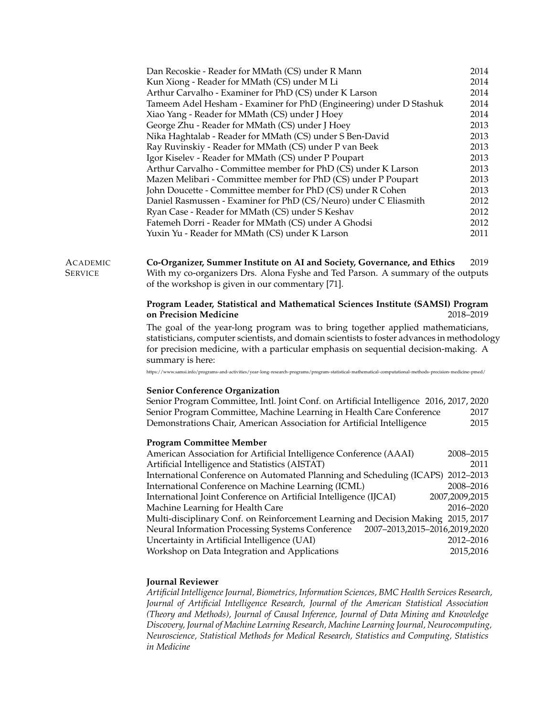| Dan Recoskie - Reader for MMath (CS) under R Mann                   | 2014 |
|---------------------------------------------------------------------|------|
| Kun Xiong - Reader for MMath (CS) under M Li                        | 2014 |
| Arthur Carvalho - Examiner for PhD (CS) under K Larson              | 2014 |
| Tameem Adel Hesham - Examiner for PhD (Engineering) under D Stashuk | 2014 |
| Xiao Yang - Reader for MMath (CS) under J Hoey                      | 2014 |
| George Zhu - Reader for MMath (CS) under J Hoey                     | 2013 |
| Nika Haghtalab - Reader for MMath (CS) under S Ben-David            | 2013 |
| Ray Ruvinskiy - Reader for MMath (CS) under P van Beek              | 2013 |
| Igor Kiselev - Reader for MMath (CS) under P Poupart                | 2013 |
| Arthur Carvalho - Committee member for PhD (CS) under K Larson      | 2013 |
| Mazen Melibari - Committee member for PhD (CS) under P Poupart      | 2013 |
| John Doucette - Committee member for PhD (CS) under R Cohen         | 2013 |
| Daniel Rasmussen - Examiner for PhD (CS/Neuro) under C Eliasmith    | 2012 |
| Ryan Case - Reader for MMath (CS) under S Keshav                    | 2012 |
| Fatemeh Dorri - Reader for MMath (CS) under A Ghodsi                | 2012 |
| Yuxin Yu - Reader for MMath (CS) under K Larson                     | 2011 |
|                                                                     |      |

#### ACADEMIC **SERVICE Co-Organizer, Summer Institute on AI and Society, Governance, and Ethics** 2019 With my co-organizers Drs. Alona Fyshe and Ted Parson. A summary of the outputs of the workshop is given in our commentary [71].

# **Program Leader, Statistical and Mathematical Sciences Institute (SAMSI) Program on Precision Medicine** 2018–2019

The goal of the year-long program was to bring together applied mathematicians, statisticians, computer scientists, and domain scientists to foster advances in methodology for precision medicine, with a particular emphasis on sequential decision-making. A summary is here:

[https://www.samsi.info/programs- and- activities/year-long- research-programs/program-statistical-mathematical-computational-methods-precision-medicine-pmed/](https://www.samsi.info/programs-and-activities/year-long-research-programs/program-statistical-mathematical-computational-methods-precision-medicine-pmed/)

#### **Senior Conference Organization**

Senior Program Committee, Intl. Joint Conf. on Artificial Intelligence 2016, 2017, 2020 Senior Program Committee, Machine Learning in Health Care Conference 2017 Demonstrations Chair, American Association for Artificial Intelligence 2015

### **Program Committee Member**

| American Association for Artificial Intelligence Conference (AAAI)                | 2008-2015      |
|-----------------------------------------------------------------------------------|----------------|
| Artificial Intelligence and Statistics (AISTAT)                                   | 2011           |
| International Conference on Automated Planning and Scheduling (ICAPS) 2012-2013   |                |
| International Conference on Machine Learning (ICML)                               | 2008-2016      |
| International Joint Conference on Artificial Intelligence (IJCAI)                 | 2007,2009,2015 |
| Machine Learning for Health Care                                                  | 2016-2020      |
| Multi-disciplinary Conf. on Reinforcement Learning and Decision Making 2015, 2017 |                |
| Neural Information Processing Systems Conference 2007-2013,2015-2016,2019,2020    |                |
| Uncertainty in Artificial Intelligence (UAI)                                      | 2012-2016      |
| Workshop on Data Integration and Applications                                     | 2015,2016      |

# **Journal Reviewer**

*Artificial Intelligence Journal, Biometrics, Information Sciences, BMC Health Services Research, Journal of Artificial Intelligence Research, Journal of the American Statistical Association (Theory and Methods), Journal of Causal Inference, Journal of Data Mining and Knowledge Discovery, Journal of Machine Learning Research, Machine Learning Journal, Neurocomputing, Neuroscience, Statistical Methods for Medical Research, Statistics and Computing, Statistics in Medicine*